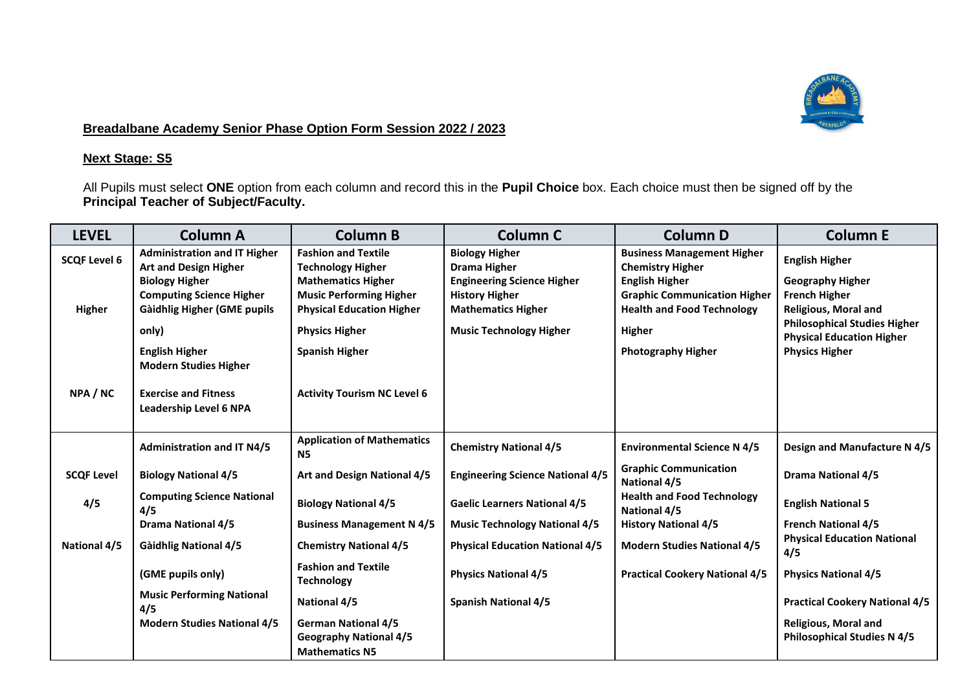

## **Breadalbane Academy Senior Phase Option Form Session 2022 / 2023**

## **Next Stage: S5**

All Pupils must select **ONE** option from each column and record this in the **Pupil Choice** box. Each choice must then be signed off by the **Principal Teacher of Subject/Faculty.**

| <b>LEVEL</b>                  | <b>Column A</b>                                                                                                                                                | <b>Column B</b>                                                                                                                                           | <b>Column C</b>                                                                                                                         | <b>Column D</b>                                                                                                                                                   | <b>Column E</b>                                                                                         |
|-------------------------------|----------------------------------------------------------------------------------------------------------------------------------------------------------------|-----------------------------------------------------------------------------------------------------------------------------------------------------------|-----------------------------------------------------------------------------------------------------------------------------------------|-------------------------------------------------------------------------------------------------------------------------------------------------------------------|---------------------------------------------------------------------------------------------------------|
| <b>SCQF Level 6</b><br>Higher | <b>Administration and IT Higher</b><br><b>Art and Design Higher</b><br><b>Biology Higher</b><br><b>Computing Science Higher</b><br>Gàidhlig Higher (GME pupils | <b>Fashion and Textile</b><br><b>Technology Higher</b><br><b>Mathematics Higher</b><br><b>Music Performing Higher</b><br><b>Physical Education Higher</b> | <b>Biology Higher</b><br><b>Drama Higher</b><br><b>Engineering Science Higher</b><br><b>History Higher</b><br><b>Mathematics Higher</b> | <b>Business Management Higher</b><br><b>Chemistry Higher</b><br><b>English Higher</b><br><b>Graphic Communication Higher</b><br><b>Health and Food Technology</b> | <b>English Higher</b><br><b>Geography Higher</b><br><b>French Higher</b><br><b>Religious, Moral and</b> |
|                               | only)<br><b>English Higher</b>                                                                                                                                 | <b>Physics Higher</b><br><b>Spanish Higher</b>                                                                                                            | <b>Music Technology Higher</b>                                                                                                          | Higher<br><b>Photography Higher</b>                                                                                                                               | <b>Philosophical Studies Higher</b><br><b>Physical Education Higher</b><br><b>Physics Higher</b>        |
|                               | <b>Modern Studies Higher</b>                                                                                                                                   |                                                                                                                                                           |                                                                                                                                         |                                                                                                                                                                   |                                                                                                         |
| NPA/NC                        | <b>Exercise and Fitness</b><br><b>Leadership Level 6 NPA</b>                                                                                                   | <b>Activity Tourism NC Level 6</b>                                                                                                                        |                                                                                                                                         |                                                                                                                                                                   |                                                                                                         |
|                               | <b>Administration and IT N4/5</b>                                                                                                                              | <b>Application of Mathematics</b><br><b>N5</b>                                                                                                            | <b>Chemistry National 4/5</b>                                                                                                           | <b>Environmental Science N 4/5</b>                                                                                                                                | Design and Manufacture N 4/5                                                                            |
| <b>SCQF Level</b>             | <b>Biology National 4/5</b>                                                                                                                                    | Art and Design National 4/5                                                                                                                               | <b>Engineering Science National 4/5</b>                                                                                                 | <b>Graphic Communication</b><br>National 4/5                                                                                                                      | <b>Drama National 4/5</b>                                                                               |
| 4/5                           | <b>Computing Science National</b><br>4/5                                                                                                                       | <b>Biology National 4/5</b>                                                                                                                               | <b>Gaelic Learners National 4/5</b>                                                                                                     | <b>Health and Food Technology</b><br><b>National 4/5</b>                                                                                                          | <b>English National 5</b>                                                                               |
|                               | <b>Drama National 4/5</b>                                                                                                                                      | <b>Business Management N 4/5</b>                                                                                                                          | <b>Music Technology National 4/5</b>                                                                                                    | <b>History National 4/5</b>                                                                                                                                       | <b>French National 4/5</b>                                                                              |
| <b>National 4/5</b>           | <b>Gàidhlig National 4/5</b>                                                                                                                                   | <b>Chemistry National 4/5</b>                                                                                                                             | <b>Physical Education National 4/5</b>                                                                                                  | <b>Modern Studies National 4/5</b>                                                                                                                                | <b>Physical Education National</b><br>4/5                                                               |
|                               | (GME pupils only)                                                                                                                                              | <b>Fashion and Textile</b><br><b>Technology</b>                                                                                                           | <b>Physics National 4/5</b>                                                                                                             | <b>Practical Cookery National 4/5</b>                                                                                                                             | <b>Physics National 4/5</b>                                                                             |
|                               | <b>Music Performing National</b><br>4/5                                                                                                                        | <b>National 4/5</b>                                                                                                                                       | <b>Spanish National 4/5</b>                                                                                                             |                                                                                                                                                                   | <b>Practical Cookery National 4/5</b>                                                                   |
|                               | <b>Modern Studies National 4/5</b>                                                                                                                             | <b>German National 4/5</b><br><b>Geography National 4/5</b><br><b>Mathematics N5</b>                                                                      |                                                                                                                                         |                                                                                                                                                                   | <b>Religious, Moral and</b><br><b>Philosophical Studies N 4/5</b>                                       |